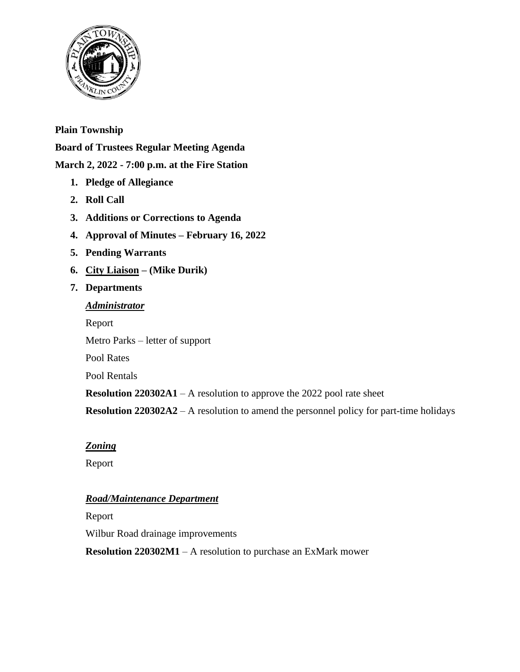

# **Plain Township**

**Board of Trustees Regular Meeting Agenda**

# **March 2, 2022 - 7:00 p.m. at the Fire Station**

- **1. Pledge of Allegiance**
- **2. Roll Call**
- **3. Additions or Corrections to Agenda**
- **4. Approval of Minutes – February 16, 2022**
- **5. Pending Warrants**
- **6. City Liaison – (Mike Durik)**

#### **7. Departments**

# *Administrator* Report Metro Parks – letter of support Pool Rates

Pool Rentals

**Resolution 220302A1** – A resolution to approve the 2022 pool rate sheet

**Resolution 220302A2** – A resolution to amend the personnel policy for part-time holidays

## *Zoning*

Report

## *Road/Maintenance Department*

Report

Wilbur Road drainage improvements

**Resolution 220302M1** – A resolution to purchase an ExMark mower